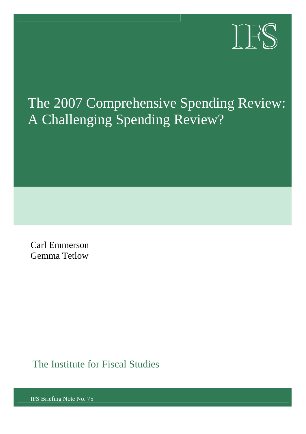

# The 2007 Comprehensive Spending Review: A Challenging Spending Review?

Carl Emmerson Gemma Tetlow

The Institute for Fiscal Studies

IFS Briefing Note No. 75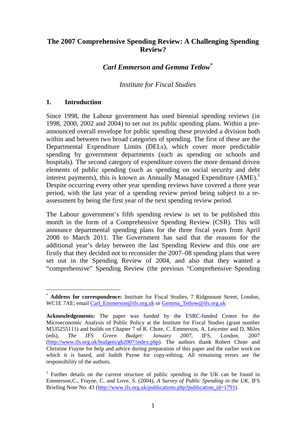# **The 2007 Comprehensive Spending Review: A Challenging Spending Review?**

# *Carl Emmerson and Gemma Tetlow\**

## *Institute for Fiscal Studies*

#### **1. Introduction**

l

Since 1998, the Labour government has used biennial spending reviews (in 1998, 2000, 2002 and 2004) to set out its public spending plans. Within a preannounced overall envelope for public spending these provided a division both within and between two broad categories of spending. The first of these are the Departmental Expenditure Limits (DELs), which cover more predictable spending by government departments (such as spending on schools and hospitals). The second category of expenditure covers the more demand driven elements of public spending (such as spending on social security and debt interest payments), this is known as Annually Managed Expenditure  $(AME)$ .<sup>1</sup> Despite occurring every other year spending reviews have covered a three year period, with the last year of a spending review period being subject to a reassessment by being the first year of the next spending review period.

The Labour government's fifth spending review is set to be published this month in the form of a Comprehensive Spending Review (CSR). This will announce departmental spending plans for the three fiscal years from April 2008 to March 2011. The Government has said that the reasons for the additional year's delay between the last Spending Review and this one are firstly that they decided not to reconsider the 2007–08 spending plans that were set out in the Spending Review of 2004, and also that they wanted a "comprehensive" Spending Review (the previous "Comprehensive Spending

<sup>\*</sup> **Address for correspondence:** Institute for Fiscal Studies, 7 Ridgmount Street, London, WC1E 7AE; email Carl\_Emmerson@ifs.org.uk or Gemma\_Tetlow@ifs.org.uk

**Acknowledgements:** The paper was funded by the ESRC-funded Centre for the Microeconomic Analysis of Public Policy at the Institute for Fiscal Studies (grant number M535255111) and builds on Chapter 7 of R. Chote, C. Emmerson, A. Leicester and D. Miles (eds), *The IFS Green Budget: January 2007*, IFS, London, 2007 (http://www.ifs.org.uk/budgets/gb2007/index.php). The authors thank Robert Chote and Christine Frayne for help and advice during preparation of this paper and the earlier work on which it is based, and Judith Payne for copy-editing. All remaining errors are the responsibility of the authors.

<sup>&</sup>lt;sup>1</sup> Further details on the current structure of public spending in the UK can be found in Emmerson*,*C., Frayne, C. and Love, S. (2004), *A Survey of Public Spending in the UK*, IFS Briefing Note No. 43 (http://www.ifs.org.uk/publications.php?publication\_id=1791).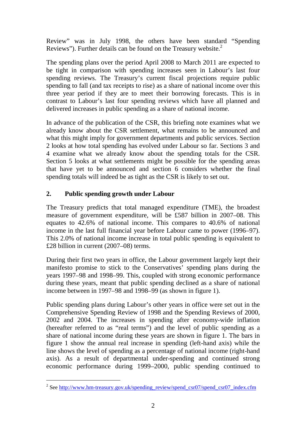Review" was in July 1998, the others have been standard "Spending Reviews"). Further details can be found on the Treasury website.<sup>2</sup>

The spending plans over the period April 2008 to March 2011 are expected to be tight in comparison with spending increases seen in Labour's last four spending reviews. The Treasury's current fiscal projections require public spending to fall (and tax receipts to rise) as a share of national income over this three year period if they are to meet their borrowing forecasts. This is in contrast to Labour's last four spending reviews which have all planned and delivered increases in public spending as a share of national income.

In advance of the publication of the CSR, this briefing note examines what we already know about the CSR settlement, what remains to be announced and what this might imply for government departments and public services. Section 2 looks at how total spending has evolved under Labour so far. Sections 3 and 4 examine what we already know about the spending totals for the CSR. Section 5 looks at what settlements might be possible for the spending areas that have yet to be announced and section 6 considers whether the final spending totals will indeed be as tight as the CSR is likely to set out.

# **2. Public spending growth under Labour**

l

The Treasury predicts that total managed expenditure (TME), the broadest measure of government expenditure, will be £587 billion in 2007–08. This equates to 42.6% of national income. This compares to 40.6% of national income in the last full financial year before Labour came to power (1996–97). This 2.0% of national income increase in total public spending is equivalent to £28 billion in current (2007–08) terms.

During their first two years in office, the Labour government largely kept their manifesto promise to stick to the Conservatives' spending plans during the years 1997–98 and 1998–99. This, coupled with strong economic performance during these years, meant that public spending declined as a share of national income between in 1997–98 and 1998–99 (as shown in figure 1).

Public spending plans during Labour's other years in office were set out in the Comprehensive Spending Review of 1998 and the Spending Reviews of 2000, 2002 and 2004. The increases in spending after economy-wide inflation (hereafter referred to as "real terms") and the level of public spending as a share of national income during these years are shown in figure 1. The bars in figure 1 show the annual real increase in spending (left-hand axis) while the line shows the level of spending as a percentage of national income (right-hand axis). As a result of departmental under-spending and continued strong economic performance during 1999–2000, public spending continued to

<sup>&</sup>lt;sup>2</sup> See http://www.hm-treasury.gov.uk/spending\_review/spend\_csr07/spend\_csr07\_index.cfm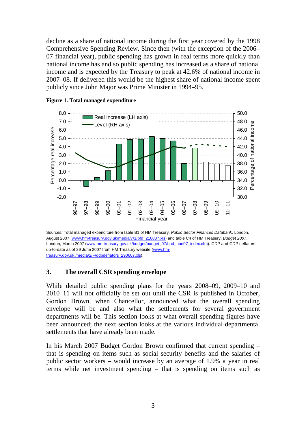decline as a share of national income during the first year covered by the 1998 Comprehensive Spending Review. Since then (with the exception of the 2006– 07 financial year), public spending has grown in real terms more quickly than national income has and so public spending has increased as a share of national income and is expected by the Treasury to peak at 42.6% of national income in 2007–08. If delivered this would be the highest share of national income spent publicly since John Major was Prime Minister in 1994–95.



#### **Figure 1. Total managed expenditure**

Sources: Total managed expenditure from table B1 of HM Treasury, *Public Sector Finances Databank*, London, August 2007 (www.hm-treasury.gov.uk/media/7/1/pfd\_210807.xls) and table C4 of HM Treasury, *Budget 2007*, London, March 2007 (www.hm-treasury.gov.uk/budget/budget\_07/bud\_bud07\_index.cfm). GDP and GDP deflators up-to-date as of 29 June 2007 from HM Treasury website (www.hmtreasury.gov.uk./media/2/F/gdpdeflators\_290607.xls).

#### **3. The overall CSR spending envelope**

While detailed public spending plans for the years 2008–09, 2009–10 and 2010–11 will not officially be set out until the CSR is published in October, Gordon Brown, when Chancellor, announced what the overall spending envelope will be and also what the settlements for several government departments will be. This section looks at what overall spending figures have been announced; the next section looks at the various individual departmental settlements that have already been made.

In his March 2007 Budget Gordon Brown confirmed that current spending – that is spending on items such as social security benefits and the salaries of public sector workers – would increase by an average of 1.9% a year in real terms while net investment spending – that is spending on items such as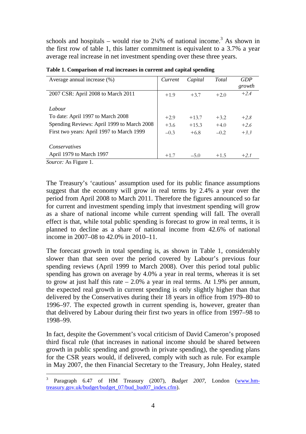schools and hospitals – would rise to  $2\frac{1}{4}\%$  of national income.<sup>3</sup> As shown in the first row of table 1, this latter commitment is equivalent to a 3.7% a year average real increase in net investment spending over these three years.

| Average annual increase $(\%)$             | Current | Capital | Total  | <b>GDP</b><br>growth |
|--------------------------------------------|---------|---------|--------|----------------------|
| 2007 CSR: April 2008 to March 2011         | $+1.9$  | $+3.7$  | $+2.0$ | $+2.4$               |
| Labour                                     |         |         |        |                      |
| To date: April 1997 to March 2008          | $+2.9$  | $+13.7$ | $+3.2$ | $+2.8$               |
| Spending Reviews: April 1999 to March 2008 | $+3.6$  | $+15.3$ | $+4.0$ | $+2.6$               |
| First two years: April 1997 to March 1999  | $-0.3$  | $+6.8$  | $-0.2$ | $+3.3$               |
| <i>Conservatives</i>                       |         |         |        |                      |
| April 1979 to March 1997                   | $+1.7$  | $-5.0$  | $+1.5$ | $+2.1$               |

**Table 1. Comparison of real increases in current and capital spending** 

*Source:* As Figure 1.

l

The Treasury's 'cautious' assumption used for its public finance assumptions suggest that the economy will grow in real terms by 2.4% a year over the period from April 2008 to March 2011. Therefore the figures announced so far for current and investment spending imply that investment spending will grow as a share of national income while current spending will fall. The overall effect is that, while total public spending is forecast to grow in real terms, it is planned to decline as a share of national income from 42.6% of national income in 2007–08 to 42.0% in 2010–11.

The forecast growth in total spending is, as shown in Table 1, considerably slower than that seen over the period covered by Labour's previous four spending reviews (April 1999 to March 2008). Over this period total public spending has grown on average by 4.0% a year in real terms, whereas it is set to grow at just half this rate  $-2.0\%$  a year in real terms. At 1.9% per annum, the expected real growth in current spending is only slightly higher than that delivered by the Conservatives during their 18 years in office from 1979–80 to 1996–97. The expected growth in current spending is, however, greater than that delivered by Labour during their first two years in office from 1997–98 to 1998–99.

In fact, despite the Government's vocal criticism of David Cameron's proposed third fiscal rule (that increases in national income should be shared between growth in public spending and growth in private spending), the spending plans for the CSR years would, if delivered, comply with such as rule. For example in May 2007, the then Financial Secretary to the Treasury, John Healey, stated

<sup>&</sup>lt;sup>3</sup> Paragraph 6.47 of HM Treasury (2007), *Budget 2007*, London (www.hmtreasury.gov.uk/budget/budget\_07/bud\_bud07\_index.cfm).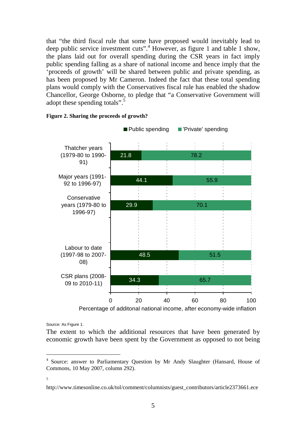that "the third fiscal rule that some have proposed would inevitably lead to deep public service investment cuts".<sup>4</sup> However, as figure 1 and table 1 show, the plans laid out for overall spending during the CSR years in fact imply public spending falling as a share of national income and hence imply that the 'proceeds of growth' will be shared between public and private spending, as has been proposed by Mr Cameron. Indeed the fact that these total spending plans would comply with the Conservatives fiscal rule has enabled the shadow Chancellor, George Osborne, to pledge that "a Conservative Government will adopt these spending totals".<sup>5</sup>



**Figure 2. Sharing the proceeds of growth?** 

Percentage of additonal national income, after economy-wide inflation

Source: As Figure 1.

The extent to which the additional resources that have been generated by economic growth have been spent by the Government as opposed to not being

5

<sup>&</sup>lt;sup>4</sup> Source: answer to Parliamentary Question by Mr Andy Slaughter (Hansard, House of Commons, 10 May 2007, column 292).

http://www.timesonline.co.uk/tol/comment/columnists/guest\_contributors/article2373661.ece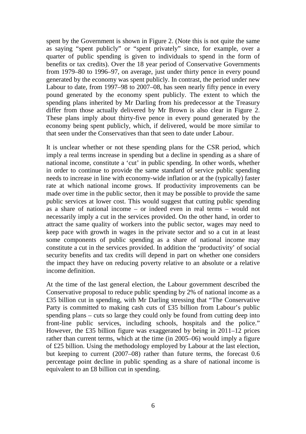spent by the Government is shown in Figure 2. (Note this is not quite the same as saying "spent publicly" or "spent privately" since, for example, over a quarter of public spending is given to individuals to spend in the form of benefits or tax credits). Over the 18 year period of Conservative Governments from 1979–80 to 1996–97, on average, just under thirty pence in every pound generated by the economy was spent publicly. In contrast, the period under new Labour to date, from 1997–98 to 2007–08, has seen nearly fifty pence in every pound generated by the economy spent publicly. The extent to which the spending plans inherited by Mr Darling from his predecessor at the Treasury differ from those actually delivered by Mr Brown is also clear in Figure 2. These plans imply about thirty-five pence in every pound generated by the economy being spent publicly, which, if delivered, would be more similar to that seen under the Conservatives than that seen to date under Labour.

It is unclear whether or not these spending plans for the CSR period, which imply a real terms increase in spending but a decline in spending as a share of national income, constitute a 'cut' in public spending. In other words, whether in order to continue to provide the same standard of service public spending needs to increase in line with economy-wide inflation or at the (typically) faster rate at which national income grows. If productivity improvements can be made over time in the public sector, then it may be possible to provide the same public services at lower cost. This would suggest that cutting public spending as a share of national income – or indeed even in real terms – would not necessarily imply a cut in the services provided. On the other hand, in order to attract the same quality of workers into the public sector, wages may need to keep pace with growth in wages in the private sector and so a cut in at least some components of public spending as a share of national income may constitute a cut in the services provided. In addition the 'productivity' of social security benefits and tax credits will depend in part on whether one considers the impact they have on reducing poverty relative to an absolute or a relative income definition.

At the time of the last general election, the Labour government described the Conservative proposal to reduce public spending by 2% of national income as a £35 billion cut in spending, with Mr Darling stressing that "The Conservative Party is committed to making cash cuts of £35 billion from Labour's public spending plans – cuts so large they could only be found from cutting deep into front-line public services, including schools, hospitals and the police." However, the £35 billion figure was exaggerated by being in 2011–12 prices rather than current terms, which at the time (in 2005–06) would imply a figure of £25 billion. Using the methodology employed by Labour at the last election, but keeping to current (2007–08) rather than future terms, the forecast 0.6 percentage point decline in public spending as a share of national income is equivalent to an £8 billion cut in spending.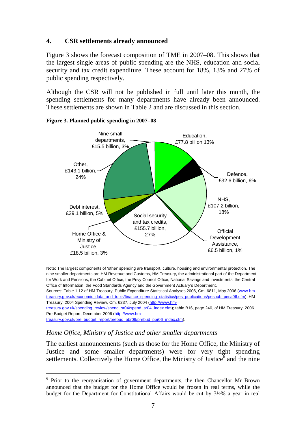## **4. CSR settlements already announced**

Figure 3 shows the forecast composition of TME in 2007–08. This shows that the largest single areas of public spending are the NHS, education and social security and tax credit expenditure. These account for 18%, 13% and 27% of public spending respectively.

Although the CSR will not be published in full until later this month, the spending settlements for many departments have already been announced. These settlements are shown in Table 2 and are discussed in this section.



#### **Figure 3. Planned public spending in 2007–08**

Note: The largest components of 'other' spending are transport, culture, housing and environmental protection. The nine smaller departments are HM Revenue and Customs, HM Treasury, the administrational part of the Department for Work and Pensions, the Cabinet Office, the Privy Council Office, National Savings and Investments, the Central Office of Information, the Food Standards Agency and the Government Actuary's Department.

Sources: Table 1.12 of HM Treasury, Public Expenditure Statistical Analyses 2006, Cm, 6811, May 2006 (www.hmtreasury.gov.uk/economic\_data\_and\_tools/finance\_spending\_statistics/pes\_publications/pespub\_pesa06.cfm); HM Treasury, 2004 Spending Review, Cm. 6237, July 2004 (http://www.hm-

treasury.gov.uk/spending\_review/spend\_sr04/spend\_sr04\_index.cfm); table B16, page 240, of HM Treasury, 2006 Pre-Budget Report, December 2006 (http://www.hm-

treasury.gov.uk/pre\_budget\_report/prebud\_pbr06/prebud\_pbr06\_index.cfm).

 $\overline{\phantom{a}}$ 

## *Home Office, Ministry of Justice and other smaller departments*

The earliest announcements (such as those for the Home Office, the Ministry of Justice and some smaller departments) were for very tight spending settlements. Collectively the Home Office, the Ministry of Justice  $\delta$  and the nine

<sup>&</sup>lt;sup>6</sup> Prior to the reorganisation of government departments, the then Chancellor Mr Brown announced that the budget for the Home Office would be frozen in real terms, while the budget for the Department for Constitutional Affairs would be cut by 3½% a year in real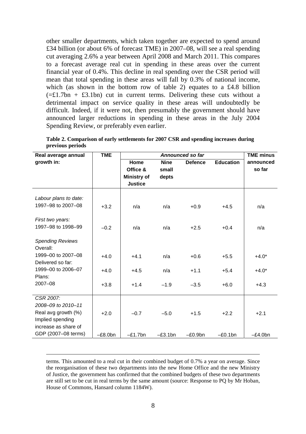other smaller departments, which taken together are expected to spend around £34 billion (or about 6% of forecast TME) in 2007–08, will see a real spending cut averaging 2.6% a year between April 2008 and March 2011. This compares to a forecast average real cut in spending in these areas over the current financial year of 0.4%. This decline in real spending over the CSR period will mean that total spending in these areas will fall by 0.3% of national income, which (as shown in the bottom row of table 2) equates to a £4.8 billion  $(=\pm 1.7$ bn +  $\pm 3.1$ bn) cut in current terms. Delivering these cuts without a detrimental impact on service quality in these areas will undoubtedly be difficult. Indeed, if it were not, then presumably the government should have announced larger reductions in spending in these areas in the July 2004 Spending Review, or preferably even earlier.

| <b>TME</b><br>Real average annual | Announced so far   |             |                | <b>TME minus</b> |            |
|-----------------------------------|--------------------|-------------|----------------|------------------|------------|
| growth in:                        | Home               | <b>Nine</b> | <b>Defence</b> | <b>Education</b> | announced  |
|                                   | Office &           | small       |                |                  | so far     |
|                                   | <b>Ministry of</b> | depts       |                |                  |            |
|                                   | <b>Justice</b>     |             |                |                  |            |
| Labour plans to date:             |                    |             |                |                  |            |
|                                   |                    |             |                |                  |            |
| 1997-98 to 2007-08<br>$+3.2$      | n/a                | n/a         | $+0.9$         | $+4.5$           | n/a        |
| First two years:                  |                    |             |                |                  |            |
| 1997-98 to 1998-99<br>$-0.2$      | n/a                | n/a         | $+2.5$         | $+0.4$           | n/a        |
|                                   |                    |             |                |                  |            |
| <b>Spending Reviews</b>           |                    |             |                |                  |            |
| Overall:                          |                    |             |                |                  |            |
| 1999-00 to 2007-08<br>$+4.0$      | $+4.1$             | n/a         | $+0.6$         | $+5.5$           | $+4.0*$    |
| Delivered so far:                 |                    |             |                |                  |            |
| 1999-00 to 2006-07<br>$+4.0$      | $+4.5$             | n/a         | $+1.1$         | $+5.4$           | $+4.0*$    |
| Plans:                            |                    |             |                |                  |            |
| 2007-08<br>$+3.8$                 | $+1.4$             | $-1.9$      | $-3.5$         | $+6.0$           | $+4.3$     |
|                                   |                    |             |                |                  |            |
| CSR 2007:                         |                    |             |                |                  |            |
| 2008-09 to 2010-11                |                    |             |                |                  |            |
| Real avg growth (%)<br>$+2.0$     | $-0.7$             | $-5.0$      | $+1.5$         | $+2.2$           | $+2.1$     |
| Implied spending                  |                    |             |                |                  |            |
| increase as share of              |                    |             |                |                  |            |
| GDP (2007-08 terms)<br>$-E8.0$ bn | $-E1.7$ bn         | $-E3.1bn$   | $-E0.9$ bn     | $-E0.1$ bn       | $-E4.0$ bn |

**Table 2. Comparison of early settlements for 2007 CSR and spending increases during previous periods** 

terms. This amounted to a real cut in their combined budget of 0.7% a year on average. Since the reorganisation of these two departments into the new Home Office and the new Ministry of Justice, the government has confirmed that the combined budgets of these two departments are still set to be cut in real terms by the same amount (source: Response to PQ by Mr Hoban, House of Commons, Hansard column 1184W).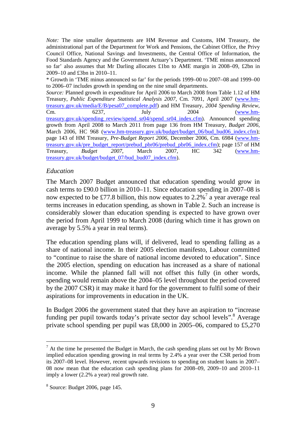*Note:* The nine smaller departments are HM Revenue and Customs, HM Treasury, the administrational part of the Department for Work and Pensions, the Cabinet Office, the Privy Council Office, National Savings and Investments, the Central Office of Information, the Food Standards Agency and the Government Actuary's Department. 'TME minus announced so far' also assumes that Mr Darling allocates £1bn to AME margin in 2008–09, £2bn in 2009–10 and £3bn in 2010–11.

\* Growth in 'TME minus announced so far' for the periods 1999–00 to 2007–08 and 1999–00 to 2006–07 includes growth in spending on the nine small departments.

*Source:* Planned growth in expenditure for April 2006 to March 2008 from Table 1.12 of HM Treasury, *Public Expenditure Statistical Analysis 2007*, Cm. 7091, April 2007 (www.hmtreasury.gov.uk/media/E/B/pesa07\_complete.pdf) and HM Treasury, *2004 Spending Review*, Cm. 6237, July 2004 (www.hmtreasury.gov.uk/spending\_review/spend\_sr04/spend\_sr04\_index.cfm). Announced spending growth from April 2008 to March 2011 from page 136 from HM Treasury, *Budget 2006*, March 2006, HC 968 (www.hm-treasury.gov.uk/budget/budget 06/bud\_bud06\_index.cfm); page 143 of HM Treasury, *Pre-Budget Report 2006*, December 2006, Cm. 6984 (www.hmtreasury.gov.uk/pre\_budget\_report/prebud\_pbr06/prebud\_pbr06\_index.cfm); page 157 of HM Treasury, *Budget 2007*, March 2007, HC 342 (www.hmtreasury.gov.uk/budget/budget\_07/bud\_bud07\_index.cfm).

## *Education*

The March 2007 Budget announced that education spending would grow in cash terms to £90.0 billion in 2010–11. Since education spending in 2007–08 is now expected to be £77.8 billion, this now equates to 2.2%<sup>7</sup> a year average real terms increases in education spending, as shown in Table 2. Such an increase is considerably slower than education spending is expected to have grown over the period from April 1999 to March 2008 (during which time it has grown on average by 5.5% a year in real terms).

The education spending plans will, if delivered, lead to spending falling as a share of national income. In their 2005 election manifesto, Labour committed to "continue to raise the share of national income devoted to education". Since the 2005 election, spending on education has increased as a share of national income. While the planned fall will not offset this fully (in other words, spending would remain above the 2004–05 level throughout the period covered by the 2007 CSR) it may make it hard for the government to fulfil some of their aspirations for improvements in education in the UK.

In Budget 2006 the government stated that they have an aspiration to "increase funding per pupil towards today's private sector day school levels".<sup>8</sup> Average private school spending per pupil was £8,000 in 2005–06, compared to £5,270

 $\overline{\phantom{a}}$ 

 $<sup>7</sup>$  At the time he presented the Budget in March, the cash spending plans set out by Mr Brown</sup> implied education spending growing in real terms by 2.4% a year over the CSR period from its 2007–08 level. However, recent upwards revisions to spending on student loans in 2007– 08 now mean that the education cash spending plans for 2008–09, 2009–10 and 2010–11 imply a lower (2.2% a year) real growth rate.

 $8$  Source: Budget 2006, page 145.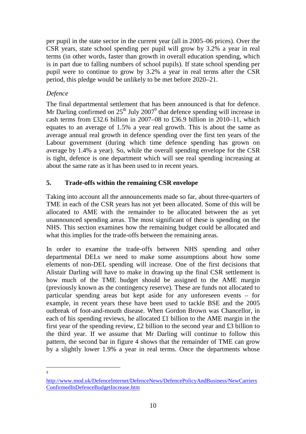per pupil in the state sector in the current year (all in 2005–06 prices). Over the CSR years, state school spending per pupil will grow by 3.2% a year in real terms (in other words, faster than growth in overall education spending, which is in part due to falling numbers of school pupils). If state school spending per pupil were to continue to grow by 3.2% a year in real terms after the CSR period, this pledge would be unlikely to be met before 2020–21.

# *Defence*

The final departmental settlement that has been announced is that for defence. Mr Darling confirmed on  $25<sup>th</sup>$  July 2007<sup>9</sup> that defence spending will increase in cash terms from £32.6 billion in 2007–08 to £36.9 billion in 2010–11, which equates to an average of 1.5% a year real growth. This is about the same as average annual real growth in defence spending over the first ten years of the Labour government (during which time defence spending has grown on average by 1.4% a year). So, while the overall spending envelope for the CSR is tight, defence is one department which will see real spending increasing at about the same rate as it has been used to in recent years.

# **5. Trade-offs within the remaining CSR envelope**

Taking into account all the announcements made so far, about three-quarters of TME in each of the CSR years has not yet been allocated. Some of this will be allocated to AME with the remainder to be allocated between the as yet unannounced spending areas. The most significant of these is spending on the NHS. This section examines how the remaining budget could be allocated and what this implies for the trade-offs between the remaining areas.

In order to examine the trade-offs between NHS spending and other departmental DELs we need to make some assumptions about how some elements of non-DEL spending will increase. One of the first decisions that Alistair Darling will have to make in drawing up the final CSR settlement is how much of the TME budget should be assigned to the AME margin (previously known as the contingency reserve). These are funds not allocated to particular spending areas but kept aside for any unforeseen events – for example, in recent years these have been used to tackle BSE and the 2005 outbreak of foot-and-mouth disease. When Gordon Brown was Chancellor, in each of his spending reviews, he allocated £1 billion to the AME margin in the first year of the spending review, £2 billion to the second year and £3 billion to the third year. If we assume that Mr Darling will continue to follow this pattern, the second bar in figure 4 shows that the remainder of TME can grow by a slightly lower 1.9% a year in real terms. Once the departments whose

l  $\alpha$ 

http://www.mod.uk/DefenceInternet/DefenceNews/DefencePolicyAndBusiness/NewCarriers ConfirmedInDefenceBudgetIncrease.htm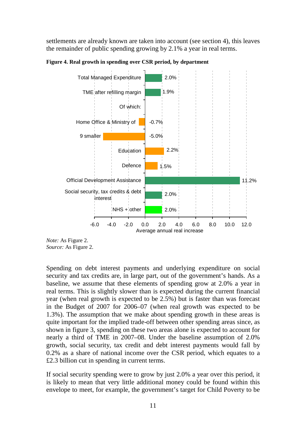settlements are already known are taken into account (see section 4), this leaves the remainder of public spending growing by 2.1% a year in real terms.



**Figure 4. Real growth in spending over CSR period, by department** 

Spending on debt interest payments and underlying expenditure on social security and tax credits are, in large part, out of the government's hands. As a baseline, we assume that these elements of spending grow at 2.0% a year in real terms. This is slightly slower than is expected during the current financial year (when real growth is expected to be 2.5%) but is faster than was forecast in the Budget of 2007 for 2006–07 (when real growth was expected to be 1.3%). The assumption that we make about spending growth in these areas is quite important for the implied trade-off between other spending areas since, as shown in figure 3, spending on these two areas alone is expected to account for nearly a third of TME in 2007–08. Under the baseline assumption of 2.0% growth, social security, tax credit and debt interest payments would fall by 0.2% as a share of national income over the CSR period, which equates to a £2.3 billion cut in spending in current terms.

If social security spending were to grow by just 2.0% a year over this period, it is likely to mean that very little additional money could be found within this envelope to meet, for example, the government's target for Child Poverty to be

*Note:* As Figure 2. *Source:* As Figure 2.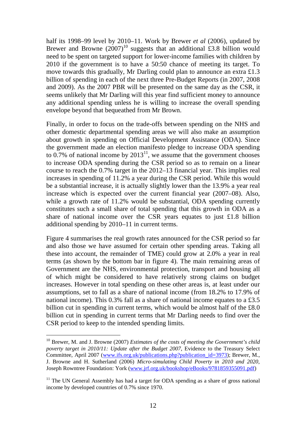half its 1998–99 level by 2010–11. Work by Brewer *et al* (2006), updated by Brewer and Browne  $(2007)^{10}$  suggests that an additional £3.8 billion would need to be spent on targeted support for lower-income families with children by 2010 if the government is to have a 50:50 chance of meeting its target. To move towards this gradually, Mr Darling could plan to announce an extra £1.3 billion of spending in each of the next three Pre-Budget Reports (in 2007, 2008 and 2009). As the 2007 PBR will be presented on the same day as the CSR, it seems unlikely that Mr Darling will this year find sufficient money to announce any additional spending unless he is willing to increase the overall spending envelope beyond that bequeathed from Mr Brown.

Finally, in order to focus on the trade-offs between spending on the NHS and other domestic departmental spending areas we will also make an assumption about growth in spending on Official Development Assistance (ODA). Since the government made an election manifesto pledge to increase ODA spending to  $0.7\%$  of national income by  $2013<sup>11</sup>$ , we assume that the government chooses to increase ODA spending during the CSR period so as to remain on a linear course to reach the 0.7% target in the 2012–13 financial year. This implies real increases in spending of 11.2% a year during the CSR period. While this would be a substantial increase, it is actually slightly lower than the 13.9% a year real increase which is expected over the current financial year (2007–08). Also, while a growth rate of 11.2% would be substantial, ODA spending currently constitutes such a small share of total spending that this growth in ODA as a share of national income over the CSR years equates to just £1.8 billion additional spending by 2010–11 in current terms.

Figure 4 summarises the real growth rates announced for the CSR period so far and also those we have assumed for certain other spending areas. Taking all these into account, the remainder of TME) could grow at 2.0% a year in real terms (as shown by the bottom bar in figure 4). The main remaining areas of Government are the NHS, environmental protection, transport and housing all of which might be considered to have relatively strong claims on budget increases. However in total spending on these other areas is, at least under our assumptions, set to fall as a share of national income (from 18.2% to 17.9% of national income). This 0.3% fall as a share of national income equates to a £3.5 billion cut in spending in current terms, which would be almost half of the £8.0 billion cut in spending in current terms that Mr Darling needs to find over the CSR period to keep to the intended spending limits.

<sup>&</sup>lt;sup>10</sup> Brewer, M. and J. Browne (2007) *Estimates of the costs of meeting the Government's child poverty target in 2010/11: Update after the Budget 2007*, Evidence to the Treasury Select Committee, April 2007 (www.ifs.org.uk/publications.php?publication\_id=3973); Brewer, M., J. Browne and H. Sutherland (2006) *Micro-simulating Child Poverty in 2010 and 2020*, Joseph Rowntree Foundation: York (www.jrf.org.uk/bookshop/eBooks/9781859355091.pdf)

 $11$  The UN General Assembly has had a target for ODA spending as a share of gross national income by developed countries of 0.7% since 1970.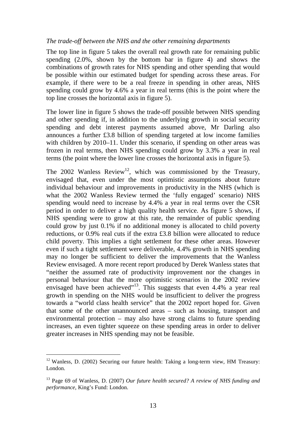## *The trade-off between the NHS and the other remaining departments*

The top line in figure 5 takes the overall real growth rate for remaining public spending (2.0%, shown by the bottom bar in figure 4) and shows the combinations of growth rates for NHS spending and other spending that would be possible within our estimated budget for spending across these areas. For example, if there were to be a real freeze in spending in other areas, NHS spending could grow by 4.6% a year in real terms (this is the point where the top line crosses the horizontal axis in figure 5).

The lower line in figure 5 shows the trade-off possible between NHS spending and other spending if, in addition to the underlying growth in social security spending and debt interest payments assumed above, Mr Darling also announces a further £3.8 billion of spending targeted at low income families with children by 2010–11. Under this scenario, if spending on other areas was frozen in real terms, then NHS spending could grow by 3.3% a year in real terms (the point where the lower line crosses the horizontal axis in figure 5).

The 2002 Wanless Review<sup>12</sup>, which was commissioned by the Treasury, envisaged that, even under the most optimistic assumptions about future individual behaviour and improvements in productivity in the NHS (which is what the 2002 Wanless Review termed the 'fully engaged' scenario) NHS spending would need to increase by 4.4% a year in real terms over the CSR period in order to deliver a high quality health service. As figure 5 shows, if NHS spending were to grow at this rate, the remainder of public spending could grow by just 0.1% if no additional money is allocated to child poverty reductions, or 0.9% real cuts if the extra £3.8 billion were allocated to reduce child poverty. This implies a tight settlement for these other areas. However even if such a tight settlement were deliverable, 4.4% growth in NHS spending may no longer be sufficient to deliver the improvements that the Wanless Review envisaged. A more recent report produced by Derek Wanless states that "neither the assumed rate of productivity improvement nor the changes in personal behaviour that the more optimistic scenarios in the 2002 review envisaged have been achieved"<sup>13</sup>. This suggests that even  $4.4\%$  a year real growth in spending on the NHS would be insufficient to deliver the progress towards a "world class health service" that the 2002 report hoped for. Given that some of the other unannounced areas – such as housing, transport and environmental protection – may also have strong claims to future spending increases, an even tighter squeeze on these spending areas in order to deliver greater increases in NHS spending may not be feasible.

 $12$  Wanless, D. (2002) Securing our future health: Taking a long-term view, HM Treasury: London.

<sup>13</sup> Page 69 of Wanless, D. (2007) *Our future health secured? A review of NHS funding and performance*, King's Fund: London.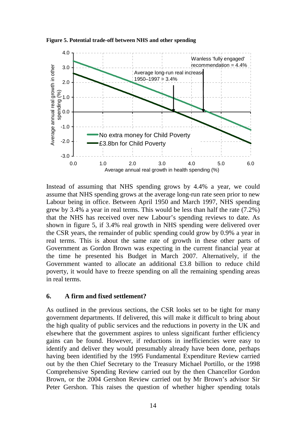



Instead of assuming that NHS spending grows by 4.4% a year, we could assume that NHS spending grows at the average long-run rate seen prior to new Labour being in office. Between April 1950 and March 1997, NHS spending grew by 3.4% a year in real terms. This would be less than half the rate (7.2%) that the NHS has received over new Labour's spending reviews to date. As shown in figure 5, if 3.4% real growth in NHS spending were delivered over the CSR years, the remainder of public spending could grow by 0.9% a year in real terms. This is about the same rate of growth in these other parts of Government as Gordon Brown was expecting in the current financial year at the time he presented his Budget in March 2007. Alternatively, if the Government wanted to allocate an additional £3.8 billion to reduce child poverty, it would have to freeze spending on all the remaining spending areas in real terms.

## **6. A firm and fixed settlement?**

As outlined in the previous sections, the CSR looks set to be tight for many government departments. If delivered, this will make it difficult to bring about the high quality of public services and the reductions in poverty in the UK and elsewhere that the government aspires to unless significant further efficiency gains can be found. However, if reductions in inefficiencies were easy to identify and deliver they would presumably already have been done, perhaps having been identified by the 1995 Fundamental Expenditure Review carried out by the then Chief Secretary to the Treasury Michael Portillo, or the 1998 Comprehensive Spending Review carried out by the then Chancellor Gordon Brown, or the 2004 Gershon Review carried out by Mr Brown's advisor Sir Peter Gershon. This raises the question of whether higher spending totals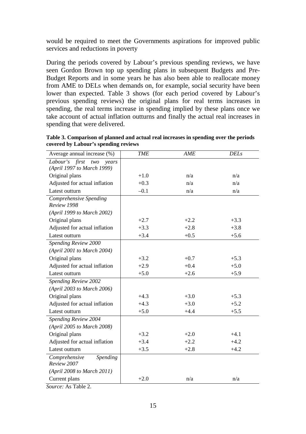would be required to meet the Governments aspirations for improved public services and reductions in poverty

During the periods covered by Labour's previous spending reviews, we have seen Gordon Brown top up spending plans in subsequent Budgets and Pre-Budget Reports and in some years he has also been able to reallocate money from AME to DELs when demands on, for example, social security have been lower than expected. Table 3 shows (for each period covered by Labour's previous spending reviews) the original plans for real terms increases in spending, the real terms increase in spending implied by these plans once we take account of actual inflation outturns and finally the actual real increases in spending that were delivered.

| Average annual increase (%)           | <b>TME</b> | AME    | <b>DELs</b> |
|---------------------------------------|------------|--------|-------------|
| Labour's first<br>two<br>years        |            |        |             |
| (April 1997 to March 1999)            |            |        |             |
| Original plans                        | $+1.0$     | n/a    | n/a         |
| Adjusted for actual inflation         | $+0.3$     | n/a    | n/a         |
| Latest outturn                        | $-0.1$     | n/a    | n/a         |
| Comprehensive Spending<br>Review 1998 |            |        |             |
| (April 1999 to March 2002)            |            |        |             |
| Original plans                        | $+2.7$     | $+2.2$ | $+3.3$      |
| Adjusted for actual inflation         | $+3.3$     | $+2.8$ | $+3.8$      |
| Latest outturn                        | $+3.4$     | $+0.5$ | $+5.6$      |
| Spending Review 2000                  |            |        |             |
| (April 2001 to March 2004)            |            |        |             |
| Original plans                        | $+3.2$     | $+0.7$ | $+5.3$      |
| Adjusted for actual inflation         | $+2.9$     | $+0.4$ | $+5.0$      |
| Latest outturn                        | $+5.0$     | $+2.6$ | $+5.9$      |
| Spending Review 2002                  |            |        |             |
| (April 2003 to March 2006)            |            |        |             |
| Original plans                        | $+4.3$     | $+3.0$ | $+5.3$      |
| Adjusted for actual inflation         | $+4.3$     | $+3.0$ | $+5.2$      |
| Latest outturn                        | $+5.0$     | $+4.4$ | $+5.5$      |
| Spending Review 2004                  |            |        |             |
| (April 2005 to March 2008)            |            |        |             |
| Original plans                        | $+3.2$     | $+2.0$ | $+4.1$      |
| Adjusted for actual inflation         | $+3.4$     | $+2.2$ | $+4.2$      |
| Latest outturn                        | $+3.5$     | $+2.8$ | $+4.2$      |
| Comprehensive<br>Spending             |            |        |             |
| Review 2007                           |            |        |             |
| (April 2008 to March 2011)            |            |        |             |
| Current plans                         | $+2.0$     | n/a    | n/a         |

**Table 3. Comparison of planned and actual real increases in spending over the periods covered by Labour's spending reviews** 

*Source:* As Table 2.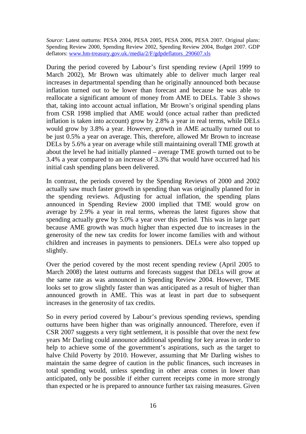*Source:* Latest outturns: PESA 2004, PESA 2005, PESA 2006, PESA 2007. Original plans: Spending Review 2000, Spending Review 2002, Spending Review 2004, Budget 2007. GDP deflators: www.hm-treasury.gov.uk./media/2/F/gdpdeflators\_290607.xls

During the period covered by Labour's first spending review (April 1999 to March 2002), Mr Brown was ultimately able to deliver much larger real increases in departmental spending than he originally announced both because inflation turned out to be lower than forecast and because he was able to reallocate a significant amount of money from AME to DELs. Table 3 shows that, taking into account actual inflation, Mr Brown's original spending plans from CSR 1998 implied that AME would (once actual rather than predicted inflation is taken into account) grow by 2.8% a year in real terms, while DELs would grow by 3.8% a year. However, growth in AME actually turned out to be just 0.5% a year on average. This, therefore, allowed Mr Brown to increase DELs by 5.6% a year on average while still maintaining overall TME growth at about the level he had initially planned – average TME growth turned out to be 3.4% a year compared to an increase of 3.3% that would have occurred had his initial cash spending plans been delivered.

In contrast, the periods covered by the Spending Reviews of 2000 and 2002 actually saw much faster growth in spending than was originally planned for in the spending reviews. Adjusting for actual inflation, the spending plans announced in Spending Review 2000 implied that TME would grow on average by 2.9% a year in real terms, whereas the latest figures show that spending actually grew by 5.0% a year over this period. This was in large part because AME growth was much higher than expected due to increases in the generosity of the new tax credits for lower income families with and without children and increases in payments to pensioners. DELs were also topped up slightly.

Over the period covered by the most recent spending review (April 2005 to March 2008) the latest outturns and forecasts suggest that DELs will grow at the same rate as was announced in Spending Review 2004. However, TME looks set to grow slightly faster than was anticipated as a result of higher than announced growth in AME. This was at least in part due to subsequent increases in the generosity of tax credits.

So in every period covered by Labour's previous spending reviews, spending outturns have been higher than was originally announced. Therefore, even if CSR 2007 suggests a very tight settlement, it is possible that over the next few years Mr Darling could announce additional spending for key areas in order to help to achieve some of the government's aspirations, such as the target to halve Child Poverty by 2010. However, assuming that Mr Darling wishes to maintain the same degree of caution in the public finances, such increases in total spending would, unless spending in other areas comes in lower than anticipated, only be possible if either current receipts come in more strongly than expected or he is prepared to announce further tax raising measures. Given